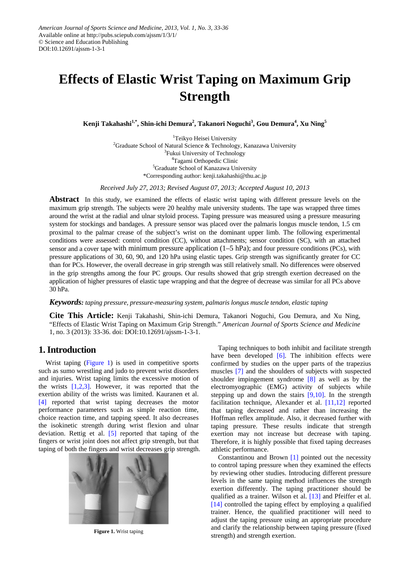# **Effects of Elastic Wrist Taping on Maximum Grip Strength**

**Kenji Takahashi1,\*, Shin-ichi Demura<sup>2</sup> , Takanori Noguchi3 , Gou Demura<sup>4</sup> , Xu Ning5**

<sup>1</sup>Teikyo Heisei University <sup>2</sup>Graduate School of Natural Science & Technology, Kanazawa University <sup>3</sup>Fukui University of Technology 4 Tagami Orthopedic Clinic 5 Graduate School of Kanazawa University \*Corresponding author: kenji.takahashi@thu.ac.jp

*Received July 27, 2013; Revised August 07, 2013; Accepted August 10, 2013*

**Abstract** In this study, we examined the effects of elastic wrist taping with different pressure levels on the maximum grip strength. The subjects were 20 healthy male university students. The tape was wrapped three times around the wrist at the radial and ulnar styloid process. Taping pressure was measured using a pressure measuring system for stockings and bandages. A pressure sensor was placed over the palmaris longus muscle tendon, 1.5 cm proximal to the palmar crease of the subject's wrist on the dominant upper limb. The following experimental conditions were assessed: control condition (CC), without attachments; sensor condition (SC), with an attached sensor and a cover tape with minimum pressure application (1–5 hPa); and four pressure conditions (PCs), with pressure applications of 30, 60, 90, and 120 hPa using elastic tapes. Grip strength was significantly greater for CC than for PCs. However, the overall decrease in grip strength was still relatively small. No differences were observed in the grip strengths among the four PC groups. Our results showed that grip strength exertion decreased on the application of higher pressures of elastic tape wrapping and that the degree of decrease was similar for all PCs above 30 hPa.

*Keywords: taping pressure, pressure-measuring system, palmaris longus muscle tendon, elastic taping*

**Cite This Article:** Kenji Takahashi, Shin-ichi Demura, Takanori Noguchi, Gou Demura, and Xu Ning, "Effects of Elastic Wrist Taping on Maximum Grip Strength." *American Journal of Sports Science and Medicine* 1, no. 3 (2013): 33-36. doi: DOI:10.12691/ajssm-1-3-1.

# **1. Introduction**

Wrist taping [\(Figure 1\)](#page-0-0) is used in competitive sports such as sumo wrestling and judo to prevent wrist disorders and injuries. Wrist taping limits the excessive motion of the wrists  $[1,2,3]$ . However, it was reported that the exertion ability of the wrists was limited. Kauranen et al. [\[4\]](#page-3-1) reported that wrist taping decreases the motor performance parameters such as simple reaction time, choice reaction time, and tapping speed. It also decreases the isokinetic strength during wrist flexion and ulnar deviation. Rettig et al. [\[5\]](#page-3-2) reported that taping of the fingers or wrist joint does not affect grip strength, but that taping of both the fingers and wrist decreases grip strength.

<span id="page-0-0"></span>

**Figure 1.** Wrist taping

Taping techniques to both inhibit and facilitate strength have been developed [\[6\].](#page-3-3) The inhibition effects were confirmed by studies on the upper parts of the trapezius muscles [\[7\]](#page-3-4) and the shoulders of subjects with suspected shoulder impingement syndrome [\[8\]](#page-3-5) as well as by the electromyographic (EMG) activity of subjects while stepping up and down the stairs  $[9,10]$ . In the strength facilitation technique, Alexander et al. [\[11,12\]](#page-3-7) reported that taping decreased and rather than increasing the Hoffman reflex amplitude. Also, it decreased further with taping pressure. These results indicate that strength exertion may not increase but decrease with taping. Therefore, it is highly possible that fixed taping decreases athletic performance.

Constantinou and Brown [\[1\]](#page-3-0) pointed out the necessity to control taping pressure when they examined the effects by reviewing other studies. Introducing different pressure levels in the same taping method influences the strength exertion differently. The taping practitioner should be qualified as a trainer. Wilson et al. [\[13\]](#page-3-8) and Pfeiffer et al. [\[14\]](#page-3-9) controlled the taping effect by employing a qualified trainer. Hence, the qualified practitioner will need to adjust the taping pressure using an appropriate procedure and clarify the relationship between taping pressure (fixed strength) and strength exertion.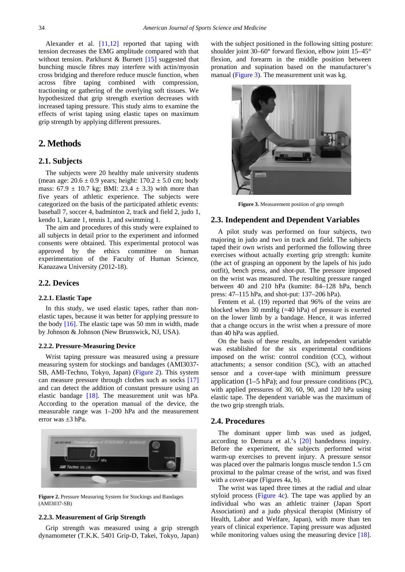Alexander et al.  $[11,12]$  reported that taping with tension decreases the EMG amplitude compared with that without tension. Parkhurst & Burnett [\[15\]](#page-3-10) suggested that bunching muscle fibres may interfere with actin/myosin cross bridging and therefore reduce muscle function, when across fibre taping combined with compression, tractioning or gathering of the overlying soft tissues. We hypothesized that grip strength exertion decreases with increased taping pressure. This study aims to examine the effects of wrist taping using elastic tapes on maximum grip strength by applying different pressures.

# **2. Methods**

## **2.1. Subjects**

The subjects were 20 healthy male university students (mean age:  $20.6 \pm 0.9$  years; height:  $170.2 \pm 5.0$  cm; body mass:  $67.9 \pm 10.7$  kg; BMI:  $23.4 \pm 3.3$ ) with more than five years of athletic experience. The subjects were categorized on the basis of the participated athletic events: baseball 7, soccer 4, badminton 2, track and field 2, judo 1, kendo 1, karate 1, tennis 1, and swimming 1.

The aim and procedures of this study were explained to all subjects in detail prior to the experiment and informed consents were obtained. This experimental protocol was approved by the ethics committee on human experimentation of the Faculty of Human Science, Kanazawa University (2012-18).

## **2.2. Devices**

#### **2.2.1. Elastic Tape**

In this study, we used elastic tapes, rather than nonelastic tapes, because it was better for applying pressure to the body [\[16\].](#page-3-11) The elastic tape was 50 mm in width, made by Johnson & Johnson (New Brunswick, NJ, USA).

### **2.2.2. Pressure-Measuring Device**

Wrist taping pressure was measured using a pressure measuring system for stockings and bandages (AMI3037- SB, AMI-Techno, Tokyo, Japan) [\(Figure 2\)](#page-1-0). This system can measure pressure through clothes such as socks [\[17\]](#page-3-12) and can detect the addition of constant pressure using an elastic bandage [\[18\].](#page-3-13) The measurement unit was hPa. According to the operation manual of the device, the measurable range was 1–200 hPa and the measurement error was ±3 hPa.

<span id="page-1-0"></span>

**Figure 2.** Pressure Measuring System for Stockings and Bandages (AMI3037-SB)

### **2.2.3. Measurement of Grip Strength**

Grip strength was measured using a grip strength dynamometer (T.K.K. 5401 Grip-D, Takei, Tokyo, Japan) with the subject positioned in the following sitting posture: shoulder joint  $30-60^\circ$  forward flexion, elbow joint  $15-45^\circ$ flexion, and forearm in the middle position between pronation and supination based on the manufacturer's manual [\(Figure 3\)](#page-1-1). The measurement unit was kg.

<span id="page-1-1"></span>

**Figure 3.** Measurement position of grip strength

## **2.3. Independent and Dependent Variables**

A pilot study was performed on four subjects, two majoring in judo and two in track and field. The subjects taped their own wrists and performed the following three exercises without actually exerting grip strength: kumite (the act of grasping an opponent by the lapels of his judo outfit), bench press, and shot-put. The pressure imposed on the wrist was measured. The resulting pressure ranged between 40 and 210 hPa (kumite: 84–128 hPa, bench press: 47–115 hPa, and shot-put: 137–206 hPa).

Fentem et al. (19) reported that 96% of the veins are blocked when 30 mmHg (=40 hPa) of pressure is exerted on the lower limb by a bandage. Hence, it was inferred that a change occurs in the wrist when a pressure of more than 40 hPa was applied.

On the basis of these results, an independent variable was established for the six experimental conditions imposed on the wrist: control condition (CC), without attachments; a sensor condition (SC), with an attached sensor and a cover-tape with minimum pressure application (1–5 hPa); and four pressure conditions (PC), with applied pressures of 30, 60, 90, and 120 hPa using elastic tape. The dependent variable was the maximum of the two grip strength trials.

## **2.4. Procedures**

The dominant upper limb was used as judged, according to Demura et al.'s [\[20\]](#page-3-14) handedness inquiry. Before the experiment, the subjects performed wrist warm-up exercises to prevent injury. A pressure sensor was placed over the palmaris longus muscle tendon 1.5 cm proximal to the palmar crease of the wrist, and was fixed with a cover-tape (Figures 4a, b).

The wrist was taped three times at the radial and ulnar styloid process [\(Figure 4c](#page-2-0)). The tape was applied by an individual who was an athletic trainer (Japan Sport Association) and a judo physical therapist (Ministry of Health, Labor and Welfare, Japan), with more than ten years of clinical experience. Taping pressure was adjusted while monitoring values using the measuring device [\[18\].](#page-3-13)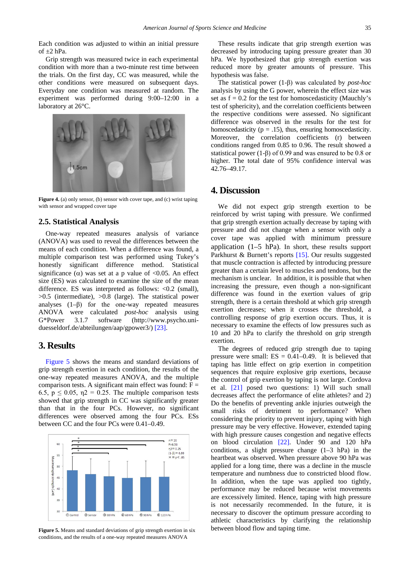Each condition was adjusted to within an initial pressure of  $+2$  hPa.

Grip strength was measured twice in each experimental condition with more than a two-minute rest time between the trials. On the first day, CC was measured, while the other conditions were measured on subsequent days. Everyday one condition was measured at random. The experiment was performed during 9:00–12:00 in a laboratory at 26°C.

<span id="page-2-0"></span>

**Figure 4.** (a) only sensor, (b) sensor with cover tape, and (c) wrist taping with sensor and wrapped cover tape

## **2.5. Statistical Analysis**

One-way repeated measures analysis of variance (ANOVA) was used to reveal the differences between the means of each condition. When a difference was found, a multiple comparison test was performed using Tukey's honestly significant difference method. Statistical significance  $(\alpha)$  was set at a p value of <0.05. An effect size (ES) was calculated to examine the size of the mean difference. ES was interpreted as follows: <0.2 (small), >0.5 (intermediate), >0.8 (large). The statistical power analyses  $(1-\beta)$  for the one-way repeated measures ANOVA were calculated *post-hoc* analysis using G\*Power 3.1.7 software (http://www.psycho.uniduesseldorf.de/abteilungen/aap/gpower3/) [\[23\].](#page-3-15)

# **3. Results**

[Figure 5](#page-2-1) shows the means and standard deviations of grip strength exertion in each condition, the results of the one-way repeated measures ANOVA, and the multiple comparison tests. A significant main effect was found:  $F =$ 6.5,  $p \le 0.05$ ,  $\eta$ 2 = 0.25. The multiple comparison tests showed that grip strength in CC was significantly greater than that in the four PCs. However, no significant differences were observed among the four PCs. ESs between CC and the four PCs were 0.41–0.49.

<span id="page-2-1"></span>

**Figure 5.** Means and standard deviations of grip strength exertion in six conditions, and the results of a one-way repeated measures ANOVA

These results indicate that grip strength exertion was decreased by introducing taping pressure greater than 30 hPa. We hypothesized that grip strength exertion was reduced more by greater amounts of pressure. This hypothesis was false.

The statistical power (1-β) was calculated by *post-hoc* analysis by using the G power, wherein the effect size was set as  $f = 0.2$  for the test for homoscedasticity (Mauchly's test of sphericity), and the correlation coefficients between the respective conditions were assessed. No significant difference was observed in the results for the test for homoscedasticity ( $p = .15$ ), thus, ensuring homoscedasticity. Moreover, the correlation coefficients (r) between conditions ranged from 0.85 to 0.96. The result showed a statistical power (1-β) of 0.99 and was ensured to be 0.8 or higher. The total date of 95% confidence interval was 42.76–49.17.

# **4. Discussion**

We did not expect grip strength exertion to be reinforced by wrist taping with pressure. We confirmed that grip strength exertion actually decrease by taping with pressure and did not change when a sensor with only a cover tape was applied with minimum pressure application  $(1-5$  hPa). In short, these results support Parkhurst & Burnett's reports [\[15\].](#page-3-10) Our results suggested that muscle contraction is affected by introducing pressure greater than a certain level to muscles and tendons, but the mechanism is unclear. In addition, it is possible that when increasing the pressure, even though a non-significant difference was found in the exertion values of grip strength, there is a certain threshold at which grip strength exertion decreases; when it crosses the threshold, a controlling response of grip exertion occurs. Thus, it is necessary to examine the effects of low pressures such as 10 and 20 hPa to clarify the threshold on grip strength exertion.

The degrees of reduced grip strength due to taping pressure were small:  $ES = 0.41-0.49$ . It is believed that taping has little effect on grip exertion in competition sequences that require explosive grip exertions, because the control of grip exertion by taping is not large. Cordova et al. [\[21\]](#page-3-16) posed two questions: 1) Will such small decreases affect the performance of elite athletes? and 2) Do the benefits of preventing ankle injuries outweigh the small risks of detriment to performance? When considering the priority to prevent injury, taping with high pressure may be very effective. However, extended taping with high pressure causes congestion and negative effects on blood circulation [\[22\].](#page-3-17) Under 90 and 120 hPa conditions, a slight pressure change (1–3 hPa) in the heartbeat was observed. When pressure above 90 hPa was applied for a long time, there was a decline in the muscle temperature and numbness due to constricted blood flow. In addition, when the tape was applied too tightly, performance may be reduced because wrist movements are excessively limited. Hence, taping with high pressure is not necessarily recommended. In the future, it is necessary to discover the optimum pressure according to athletic characteristics by clarifying the relationship between blood flow and taping time.